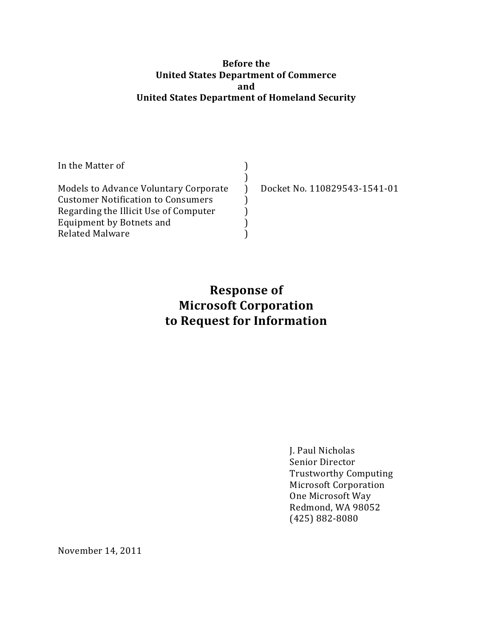#### **Before the United States Department of Commerce and United States Department of Homeland Security**

| In the Matter of                          |                              |
|-------------------------------------------|------------------------------|
|                                           |                              |
| Models to Advance Voluntary Corporate     | Docket No. 110829543-1541-01 |
| <b>Customer Notification to Consumers</b> |                              |
| Regarding the Illicit Use of Computer     |                              |
| Equipment by Botnets and                  |                              |
| <b>Related Malware</b>                    |                              |

# **Response of Microsoft Corporation to Request for Information**

J. Paul Nicholas Senior Director Trustworthy Computing Microsoft Corporation One Microsoft Way Redmond, WA 98052 (425) 882-8080

November 14, 2011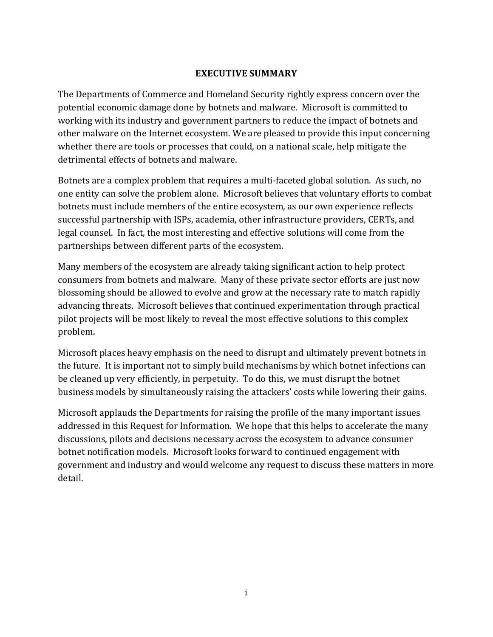#### **EXECUTIVE SUMMARY**

<span id="page-1-0"></span>The Departments of Commerce and Homeland Security rightly express concern over the potential economic damage done by botnets and malware. Microsoft is committed to working with its industry and government partners to reduce the impact of botnets and other malware on the Internet ecosystem. We are pleased to provide this input concerning whether there are tools or processes that could, on a national scale, help mitigate the detrimental effects of botnets and malware.

Botnets are a complex problem that requires a multi-faceted global solution. As such, no one entity can solve the problem alone. Microsoft believes that voluntary efforts to combat botnets must include members of the entire ecosystem, as our own experience reflects successful partnership with ISPs, academia, other infrastructure providers, CERTs, and legal counsel. In fact, the most interesting and effective solutions will come from the partnerships between different parts of the ecosystem.

Many members of the ecosystem are already taking significant action to help protect consumers from botnets and malware. Many of these private sector efforts are just now blossoming should be allowed to evolve and grow at the necessary rate to match rapidly advancing threats. Microsoft believes that continued experimentation through practical pilot projects will be most likely to reveal the most effective solutions to this complex problem.

Microsoft places heavy emphasis on the need to disrupt and ultimately prevent botnets in the future. It is important not to simply build mechanisms by which botnet infections can be cleaned up very efficiently, in perpetuity. To do this, we must disrupt the botnet business models by simultaneously raising the attackers' costs while lowering their gains.

Microsoft applauds the Departments for raising the profile of the many important issues addressed in this Request for Information. We hope that this helps to accelerate the many discussions, pilots and decisions necessary across the ecosystem to advance consumer botnet notification models. Microsoft looks forward to continued engagement with government and industry and would welcome any request to discuss these matters in more detail.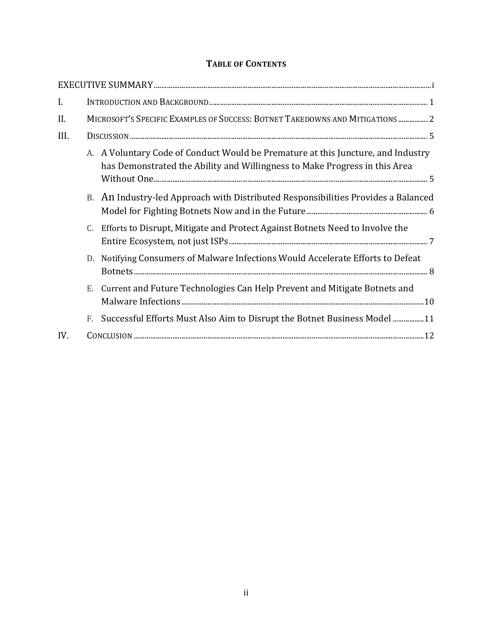#### **TABLE OF CONTENTS**

| I.   |    |                                                                                                                                                                |
|------|----|----------------------------------------------------------------------------------------------------------------------------------------------------------------|
| II.  |    | MICROSOFT'S SPECIFIC EXAMPLES OF SUCCESS: BOTNET TAKEDOWNS AND MITIGATIONS  2                                                                                  |
| III. |    |                                                                                                                                                                |
|      |    | A. A Voluntary Code of Conduct Would be Premature at this Juncture, and Industry<br>has Demonstrated the Ability and Willingness to Make Progress in this Area |
|      |    | B. An Industry-led Approach with Distributed Responsibilities Provides a Balanced                                                                              |
|      | C. | Efforts to Disrupt, Mitigate and Protect Against Botnets Need to Involve the                                                                                   |
|      | D. | Notifying Consumers of Malware Infections Would Accelerate Efforts to Defeat                                                                                   |
|      |    | E. Current and Future Technologies Can Help Prevent and Mitigate Botnets and                                                                                   |
|      | F. | Successful Efforts Must Also Aim to Disrupt the Botnet Business Model  11                                                                                      |
| IV.  |    |                                                                                                                                                                |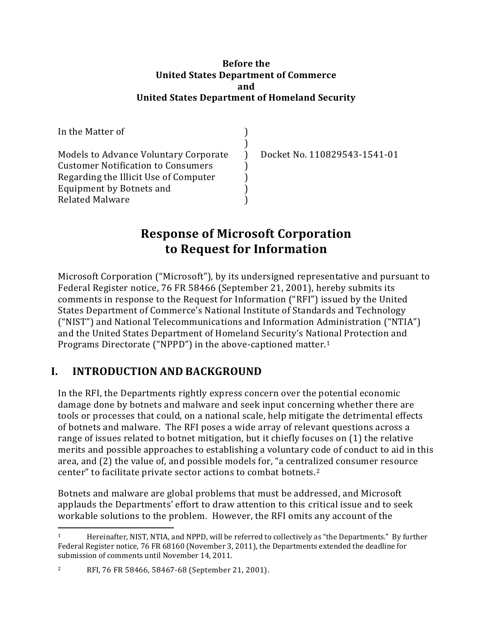#### **Before the United States Department of Commerce and United States Department of Homeland Security**

| In the Matter of                          |                              |
|-------------------------------------------|------------------------------|
| Models to Advance Voluntary Corporate     | Docket No. 110829543-1541-01 |
| <b>Customer Notification to Consumers</b> |                              |
| Regarding the Illicit Use of Computer     |                              |
| Equipment by Botnets and                  |                              |
| <b>Related Malware</b>                    |                              |

# **Response of Microsoft Corporation to Request for Information**

Microsoft Corporation ("Microsoft"), by its undersigned representative and pursuant to Federal Register notice, 76 FR 58466 (September 21, 2001), hereby submits its comments in response to the Request for Information ("RFI") issued by the United States Department of Commerce's National Institute of Standards and Technology ("NIST") and National Telecommunications and Information Administration ("NTIA") and the United States Department of Homeland Security's National Protection and Programs Directorate ("NPPD") in the above-captioned matter.<sup>1</sup>

## <span id="page-3-0"></span>**I. INTRODUCTION AND BACKGROUND**

In the RFI, the Departments rightly express concern over the potential economic damage done by botnets and malware and seek input concerning whether there are tools or processes that could, on a national scale, help mitigate the detrimental effects of botnets and malware. The RFI poses a wide array of relevant questions across a range of issues related to botnet mitigation, but it chiefly focuses on (1) the relative merits and possible approaches to establishing a voluntary code of conduct to aid in this area, and (2) the value of, and possible models for, "a centralized consumer resource center" to facilitate private sector actions to combat botnets.<sup>2</sup>

Botnets and malware are global problems that must be addressed, and Microsoft applauds the Departments' effort to draw attention to this critical issue and to seek workable solutions to the problem. However, the RFI omits any account of the

l

<sup>1</sup> Hereinafter, NIST, NTIA, and NPPD, will be referred to collectively as "the Departments." By further Federal Register notice, 76 FR 68160 (November 3, 2011), the Departments extended the deadline for submission of comments until November 14, 2011.

<sup>2</sup> RFI, 76 FR 58466, 58467-68 (September 21, 2001).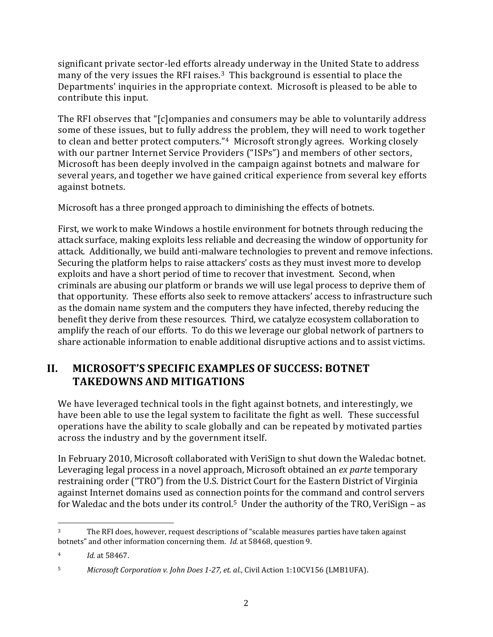significant private sector-led efforts already underway in the United State to address many of the very issues the RFI raises.3 This background is essential to place the Departments' inquiries in the appropriate context. Microsoft is pleased to be able to contribute this input.

The RFI observes that "[c]ompanies and consumers may be able to voluntarily address some of these issues, but to fully address the problem, they will need to work together to clean and better protect computers."4 Microsoft strongly agrees. Working closely with our partner Internet Service Providers ("ISPs") and members of other sectors, Microsoft has been deeply involved in the campaign against botnets and malware for several years, and together we have gained critical experience from several key efforts against botnets.

Microsoft has a three pronged approach to diminishing the effects of botnets.

First, we work to make Windows a hostile environment for botnets through reducing the attack surface, making exploits less reliable and decreasing the window of opportunity for attack. Additionally, we build anti-malware technologies to prevent and remove infections. Securing the platform helps to raise attackers' costs as they must invest more to develop exploits and have a short period of time to recover that investment. Second, when criminals are abusing our platform or brands we will use legal process to deprive them of that opportunity. These efforts also seek to remove attackers' access to infrastructure such as the domain name system and the computers they have infected, thereby reducing the benefit they derive from these resources. Third, we catalyze ecosystem collaboration to amplify the reach of our efforts. To do this we leverage our global network of partners to share actionable information to enable additional disruptive actions and to assist victims.

## <span id="page-4-0"></span>**II. MICROSOFT'S SPECIFIC EXAMPLES OF SUCCESS: BOTNET TAKEDOWNS AND MITIGATIONS**

We have leveraged technical tools in the fight against botnets, and interestingly, we have been able to use the legal system to facilitate the fight as well. These successful operations have the ability to scale globally and can be repeated by motivated parties across the industry and by the government itself.

In February 2010, Microsoft collaborated with VeriSign to shut down the Waledac botnet. Leveraging legal process in a novel approach, Microsoft obtained an *ex parte* temporary restraining order ("TRO") from the U.S. District Court for the Eastern District of Virginia against Internet domains used as connection points for the command and control servers for Waledac and the bots under its control.<sup>5</sup> Under the authority of the TRO, VeriSign – as

l <sup>3</sup> The RFI does, however, request descriptions of "scalable measures parties have taken against botnets" and other information concerning them. *Id.* at 58468, question 9.

<sup>4</sup> *Id.* at 58467.

<sup>5</sup> *Microsoft Corporation v. John Does 1-27, et. al.*, Civil Action 1:10CV156 (LMB1UFA).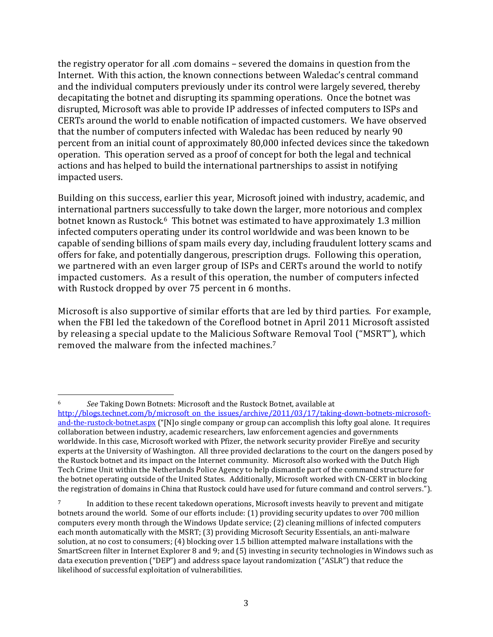the registry operator for all .com domains – severed the domains in question from the Internet. With this action, the known connections between Waledac's central command and the individual computers previously under its control were largely severed, thereby decapitating the botnet and disrupting its spamming operations. Once the botnet was disrupted, Microsoft was able to provide IP addresses of infected computers to ISPs and CERTs around the world to enable notification of impacted customers. We have observed that the number of computers infected with Waledac has been reduced by nearly 90 percent from an initial count of approximately 80,000 infected devices since the takedown operation. This operation served as a proof of concept for both the legal and technical actions and has helped to build the international partnerships to assist in notifying impacted users.

Building on this success, earlier this year, [Microsoft](http://www.microsoft.com/presspass/presskits/DCU/) joined with industry, academic, and international partners successfully to take down the larger, more notorious and complex botnet known as Rustock.<sup>6</sup> This botnet was estimated to have approximately 1.3 million infected computers operating under its control worldwide and was been known to be capable of sending billions of spam mails every day, including fraudulent lottery scams and offers for fake, and potentially dangerous, prescription drugs. Following this operation, we partnered with an even larger group of ISPs and CERTs around the world to notify impacted customers. As a result of this operation, the number of computers infected with Rustock dropped by over 75 percent in 6 months.

Microsoft is also supportive of similar efforts that are led by third parties. For example, when the FBI led the takedown of the Coreflood botnet in April 2011 Microsoft assisted by releasing a special update to the Malicious Software Removal Tool ("MSRT"), which removed the malware from the infected machines.<sup>7</sup>

l <sup>6</sup> *See* Taking Down Botnets: Microsoft and the Rustock Botnet, available at [http://blogs.technet.com/b/microsoft\\_on\\_the\\_issues/archive/2011/03/17/taking-down-botnets-microsoft](http://blogs.technet.com/b/microsoft_on_the_issues/archive/2011/03/17/taking-down-botnets-microsoft-and-the-rustock-botnet.aspx)[and-the-rustock-botnet.aspx](http://blogs.technet.com/b/microsoft_on_the_issues/archive/2011/03/17/taking-down-botnets-microsoft-and-the-rustock-botnet.aspx) ("[N]o single company or group can accomplish this lofty goal alone. It requires collaboration between industry, academic researchers, law enforcement agencies and governments worldwide. In this case, Microsoft worked with Pfizer, the network security provider FireEye and security experts at the University of Washington. All three provided declarations to the court on the dangers posed by the Rustock botnet and its impact on the Internet community. Microsoft also worked with the Dutch High Tech Crime Unit within the Netherlands Police Agency to help dismantle part of the command structure for the botnet operating outside of the United States. Additionally, Microsoft worked with CN-CERT in blocking the registration of domains in China that Rustock could have used for future command and control servers.").

<sup>&</sup>lt;sup>7</sup> In addition to these recent takedown operations, Microsoft invests heavily to prevent and mitigate botnets around the world. Some of our efforts include: (1) providing security updates to over 700 million computers every month through the Windows Update service; (2) cleaning millions of infected computers each month automatically with the MSRT; (3) providing Microsoft Security Essentials, an anti-malware solution, at no cost to consumers; (4) blocking over 1.5 billion attempted malware installations with the SmartScreen filter in Internet Explorer 8 and 9; and (5) investing in security technologies in Windows such as data execution prevention ("DEP") and address space layout randomization ("ASLR") that reduce the likelihood of successful exploitation of vulnerabilities.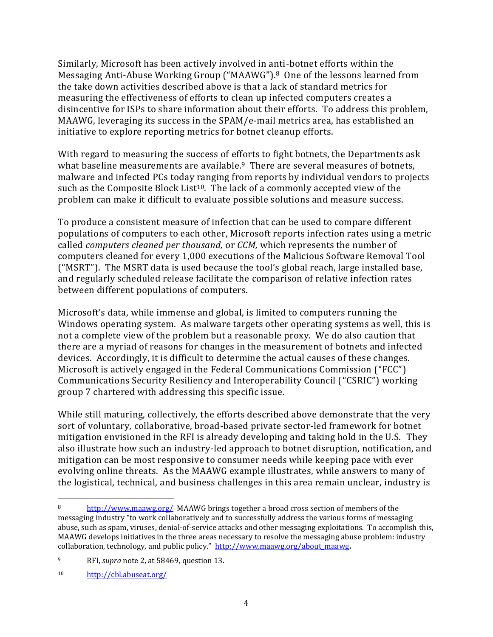Similarly, Microsoft has been actively involved in anti-botnet efforts within the Messaging Anti-Abuse Working Group ("MAAWG").8 One of the lessons learned from the take down activities described above is that a lack of standard metrics for measuring the effectiveness of efforts to clean up infected computers creates a disincentive for ISPs to share information about their efforts. To address this problem, MAAWG, leveraging its success in the SPAM/e-mail metrics area, has established an initiative to explore reporting metrics for botnet cleanup efforts.

With regard to measuring the success of efforts to fight botnets, the Departments ask what baseline measurements are available.<sup>9</sup> There are several measures of botnets, malware and infected PCs today ranging from reports by individual vendors to projects such as the Composite Block List<sup>10</sup>. The lack of a commonly accepted view of the problem can make it difficult to evaluate possible solutions and measure success.

To produce a consistent measure of infection that can be used to compare different populations of computers to each other, Microsoft reports infection rates using a metric called *computers cleaned per thousand,* or *CCM,* which represents the number of computers cleaned for every 1,000 executions of the Malicious Software Removal Tool ("MSRT"). The MSRT data is used because the tool's global reach, large installed base, and regularly scheduled release facilitate the comparison of relative infection rates between different populations of computers.

Microsoft's data, while immense and global, is limited to computers running the Windows operating system. As malware targets other operating systems as well, this is not a complete view of the problem but a reasonable proxy. We do also caution that there are a myriad of reasons for changes in the measurement of botnets and infected devices. Accordingly, it is difficult to determine the actual causes of these changes. Microsoft is actively engaged in the Federal Communications Commission ("FCC") Communications Security Resiliency and Interoperability Council ("CSRIC") working group 7 chartered with addressing this specific issue.

While still maturing, collectively, the efforts described above demonstrate that the very sort of voluntary, collaborative, broad-based private sector-led framework for botnet mitigation envisioned in the RFI is already developing and taking hold in the U.S. They also illustrate how such an industry-led approach to botnet disruption, notification, and mitigation can be most responsive to consumer needs while keeping pace with ever evolving online threats. As the MAAWG example illustrates, while answers to many of the logistical, technical, and business challenges in this area remain unclear, industry is

<sup>9</sup> RFI, *supra* note 2, at 58469, question 13.

l

<sup>8</sup> <http://www.maawg.org/>MAAWG brings together a broad cross section of members of the messaging industry "to work collaboratively and to successfully address the various forms of messaging abuse, such as spam, viruses, denial-of-service attacks and other messaging exploitations. To accomplish this, MAAWG develops initiatives in the three areas necessary to resolve the messaging abuse problem: industry collaboration, technology, and public policy."[http://www.maawg.org/about\\_maawg](http://www.maawg.org/about_maawg)**.** 

<sup>10</sup> <http://cbl.abuseat.org/>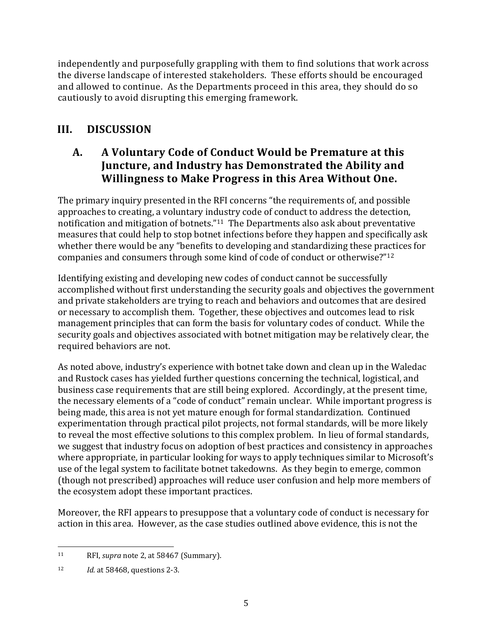independently and purposefully grappling with them to find solutions that work across the diverse landscape of interested stakeholders. These efforts should be encouraged and allowed to continue. As the Departments proceed in this area, they should do so cautiously to avoid disrupting this emerging framework.

# <span id="page-7-0"></span>**III. DISCUSSION**

### <span id="page-7-1"></span>**A. A Voluntary Code of Conduct Would be Premature at this Juncture, and Industry has Demonstrated the Ability and Willingness to Make Progress in this Area Without One.**

The primary inquiry presented in the RFI concerns "the requirements of, and possible approaches to creating, a voluntary industry code of conduct to address the detection, notification and mitigation of botnets."<sup>11</sup> The Departments also ask about preventative measures that could help to stop botnet infections before they happen and specifically ask whether there would be any "benefits to developing and standardizing these practices for companies and consumers through some kind of code of conduct or otherwise?"<sup>12</sup>

Identifying existing and developing new codes of conduct cannot be successfully accomplished without first understanding the security goals and objectives the government and private stakeholders are trying to reach and behaviors and outcomes that are desired or necessary to accomplish them. Together, these objectives and outcomes lead to risk management principles that can form the basis for voluntary codes of conduct. While the security goals and objectives associated with botnet mitigation may be relatively clear, the required behaviors are not.

As noted above, industry's experience with botnet take down and clean up in the Waledac and Rustock cases has yielded further questions concerning the technical, logistical, and business case requirements that are still being explored. Accordingly, at the present time, the necessary elements of a "code of conduct" remain unclear. While important progress is being made, this area is not yet mature enough for formal standardization. Continued experimentation through practical pilot projects, not formal standards, will be more likely to reveal the most effective solutions to this complex problem. In lieu of formal standards, we suggest that industry focus on adoption of best practices and consistency in approaches where appropriate, in particular looking for ways to apply techniques similar to Microsoft's use of the legal system to facilitate botnet takedowns. As they begin to emerge, common (though not prescribed) approaches will reduce user confusion and help more members of the ecosystem adopt these important practices.

Moreover, the RFI appears to presuppose that a voluntary code of conduct is necessary for action in this area. However, as the case studies outlined above evidence, this is not the

 $\overline{\phantom{0}}$ <sup>11</sup> RFI, *supra* note 2, at 58467 (Summary).

<sup>12</sup> *Id.* at 58468, questions 2-3.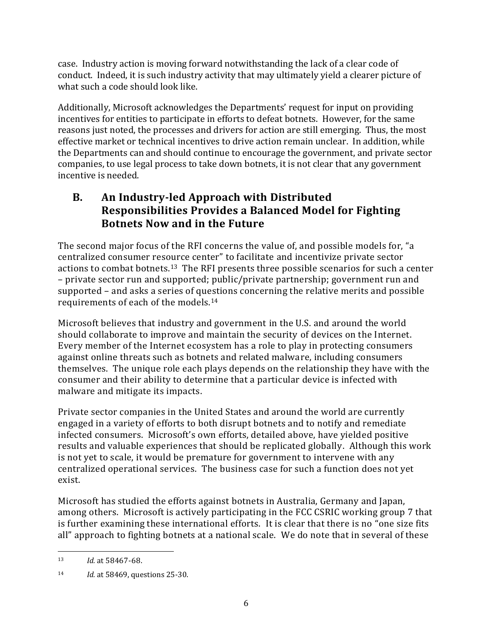case. Industry action is moving forward notwithstanding the lack of a clear code of conduct. Indeed, it is such industry activity that may ultimately yield a clearer picture of what such a code should look like.

Additionally, Microsoft acknowledges the Departments' request for input on providing incentives for entities to participate in efforts to defeat botnets. However, for the same reasons just noted, the processes and drivers for action are still emerging. Thus, the most effective market or technical incentives to drive action remain unclear. In addition, while the Departments can and should continue to encourage the government, and private sector companies, to use legal process to take down botnets, it is not clear that any government incentive is needed.

## <span id="page-8-0"></span>**B. An Industry-led Approach with Distributed Responsibilities Provides a Balanced Model for Fighting Botnets Now and in the Future**

The second major focus of the RFI concerns the value of, and possible models for, "a centralized consumer resource center" to facilitate and incentivize private sector actions to combat botnets.13 The RFI presents three possible scenarios for such a center – private sector run and supported; public/private partnership; government run and supported – and asks a series of questions concerning the relative merits and possible requirements of each of the models.<sup>14</sup>

Microsoft believes that industry and government in the U.S. and around the world should collaborate to improve and maintain the security of devices on the Internet. Every member of the Internet ecosystem has a role to play in protecting consumers against online threats such as botnets and related malware, including consumers themselves. The unique role each plays depends on the relationship they have with the consumer and their ability to determine that a particular device is infected with malware and mitigate its impacts.

Private sector companies in the United States and around the world are currently engaged in a variety of efforts to both disrupt botnets and to notify and remediate infected consumers. Microsoft's own efforts, detailed above, have yielded positive results and valuable experiences that should be replicated globally. Although this work is not yet to scale, it would be premature for government to intervene with any centralized operational services. The business case for such a function does not yet exist.

Microsoft has studied the efforts against botnets in Australia, Germany and Japan, among others. Microsoft is actively participating in the FCC CSRIC working group 7 that is further examining these international efforts. It is clear that there is no "one size fits all" approach to fighting botnets at a national scale. We do note that in several of these

 $\overline{\phantom{0}}$ 

<sup>13</sup> *Id.* at 58467-68.

<sup>14</sup> *Id.* at 58469, questions 25-30.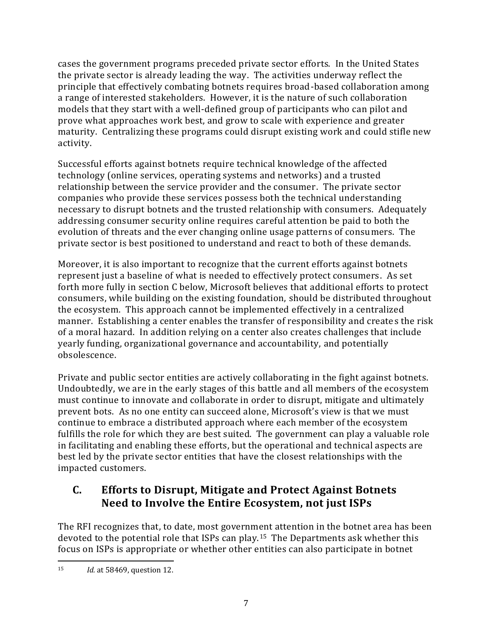cases the government programs preceded private sector efforts. In the United States the private sector is already leading the way. The activities underway reflect the principle that effectively combating botnets requires broad-based collaboration among a range of interested stakeholders. However, it is the nature of such collaboration models that they start with a well-defined group of participants who can pilot and prove what approaches work best, and grow to scale with experience and greater maturity. Centralizing these programs could disrupt existing work and could stifle new activity.

Successful efforts against botnets require technical knowledge of the affected technology (online services, operating systems and networks) and a trusted relationship between the service provider and the consumer. The private sector companies who provide these services possess both the technical understanding necessary to disrupt botnets and the trusted relationship with consumers. Adequately addressing consumer security online requires careful attention be paid to both the evolution of threats and the ever changing online usage patterns of consumers. The private sector is best positioned to understand and react to both of these demands.

Moreover, it is also important to recognize that the current efforts against botnets represent just a baseline of what is needed to effectively protect consumers. As set forth more fully in section C below, Microsoft believes that additional efforts to protect consumers, while building on the existing foundation, should be distributed throughout the ecosystem. This approach cannot be implemented effectively in a centralized manner. Establishing a center enables the transfer of responsibility and creates the risk of a moral hazard. In addition relying on a center also creates challenges that include yearly funding, organizational governance and accountability, and potentially obsolescence.

Private and public sector entities are actively collaborating in the fight against botnets. Undoubtedly, we are in the early stages of this battle and all members of the ecosystem must continue to innovate and collaborate in order to disrupt, mitigate and ultimately prevent bots. As no one entity can succeed alone, Microsoft's view is that we must continue to embrace a distributed approach where each member of the ecosystem fulfills the role for which they are best suited. The government can play a valuable role in facilitating and enabling these efforts, but the operational and technical aspects are best led by the private sector entities that have the closest relationships with the impacted customers.

## <span id="page-9-0"></span>**C. Efforts to Disrupt, Mitigate and Protect Against Botnets Need to Involve the Entire Ecosystem, not just ISPs**

The RFI recognizes that, to date, most government attention in the botnet area has been devoted to the potential role that ISPs can play.15 The Departments ask whether this focus on ISPs is appropriate or whether other entities can also participate in botnet

l <sup>15</sup> *Id.* at 58469, question 12.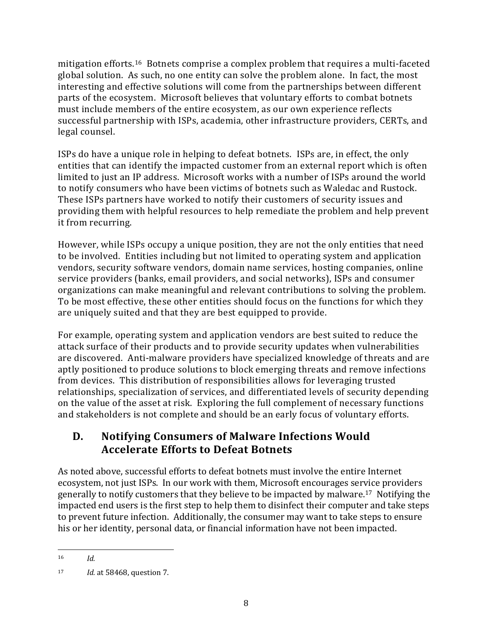mitigation efforts.16 Botnets comprise a complex problem that requires a multi-faceted global solution. As such, no one entity can solve the problem alone. In fact, the most interesting and effective solutions will come from the partnerships between different parts of the ecosystem. Microsoft believes that voluntary efforts to combat botnets must include members of the entire ecosystem, as our own experience reflects successful partnership with ISPs, academia, other infrastructure providers, CERTs, and legal counsel.

ISPs do have a unique role in helping to defeat botnets. ISPs are, in effect, the only entities that can identify the impacted customer from an external report which is often limited to just an IP address. Microsoft works with a number of ISPs around the world to notify consumers who have been victims of botnets such as Waledac and Rustock. These ISPs partners have worked to notify their customers of security issues and providing them with helpful resources to help remediate the problem and help prevent it from recurring.

However, while ISPs occupy a unique position, they are not the only entities that need to be involved. Entities including but not limited to operating system and application vendors, security software vendors, domain name services, hosting companies, online service providers (banks, email providers, and social networks), ISPs and consumer organizations can make meaningful and relevant contributions to solving the problem. To be most effective, these other entities should focus on the functions for which they are uniquely suited and that they are best equipped to provide.

For example, operating system and application vendors are best suited to reduce the attack surface of their products and to provide security updates when vulnerabilities are discovered. Anti-malware providers have specialized knowledge of threats and are aptly positioned to produce solutions to block emerging threats and remove infections from devices. This distribution of responsibilities allows for leveraging trusted relationships, specialization of services, and differentiated levels of security depending on the value of the asset at risk. Exploring the full complement of necessary functions and stakeholders is not complete and should be an early focus of voluntary efforts.

#### <span id="page-10-0"></span>**D. Notifying Consumers of Malware Infections Would Accelerate Efforts to Defeat Botnets**

As noted above, successful efforts to defeat botnets must involve the entire Internet ecosystem, not just ISPs. In our work with them, Microsoft encourages service providers generally to notify customers that they believe to be impacted by malware.17 Notifying the impacted end users is the first step to help them to disinfect their computer and take steps to prevent future infection. Additionally, the consumer may want to take steps to ensure his or her identity, personal data, or financial information have not been impacted.

l <sup>16</sup> *Id.*

<sup>17</sup> *Id.* at 58468, question 7.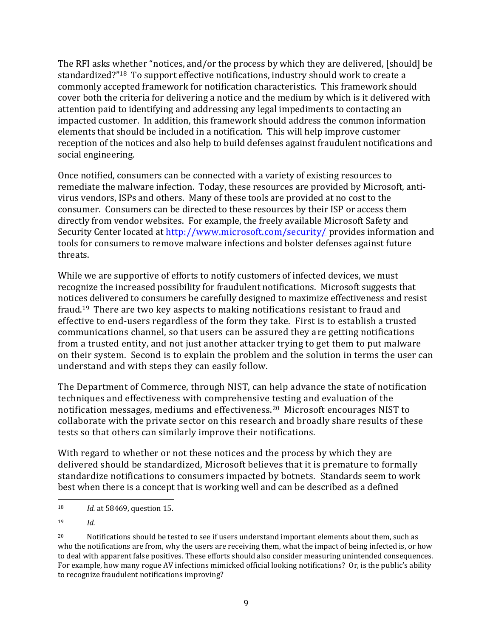The RFI asks whether "notices, and/or the process by which they are delivered, [should] be standardized?"18 To support effective notifications, industry should work to create a commonly accepted framework for notification characteristics. This framework should cover both the criteria for delivering a notice and the medium by which is it delivered with attention paid to identifying and addressing any legal impediments to contacting an impacted customer. In addition, this framework should address the common information elements that should be included in a notification. This will help improve customer reception of the notices and also help to build defenses against fraudulent notifications and social engineering.

Once notified, consumers can be connected with a variety of existing resources to remediate the malware infection. Today, these resources are provided by Microsoft, antivirus vendors, ISPs and others. Many of these tools are provided at no cost to the consumer. Consumers can be directed to these resources by their ISP or access them directly from vendor websites. For example, the freely available Microsoft Safety and Security Center located at<http://www.microsoft.com/security/> provides information and tools for consumers to remove malware infections and bolster defenses against future threats.

While we are supportive of efforts to notify customers of infected devices, we must recognize the increased possibility for fraudulent notifications. Microsoft suggests that notices delivered to consumers be carefully designed to maximize effectiveness and resist fraud.19 There are two key aspects to making notifications resistant to fraud and effective to end-users regardless of the form they take. First is to establish a trusted communications channel, so that users can be assured they are getting notifications from a trusted entity, and not just another attacker trying to get them to put malware on their system. Second is to explain the problem and the solution in terms the user can understand and with steps they can easily follow.

The Department of Commerce, through NIST, can help advance the state of notification techniques and effectiveness with comprehensive testing and evaluation of the notification messages, mediums and effectiveness.20 Microsoft encourages NIST to collaborate with the private sector on this research and broadly share results of these tests so that others can similarly improve their notifications.

With regard to whether or not these notices and the process by which they are delivered should be standardized, Microsoft believes that it is premature to formally standardize notifications to consumers impacted by botnets. Standards seem to work best when there is a concept that is working well and can be described as a defined

<sup>19</sup> *Id.*

 $\overline{a}$ <sup>18</sup> *Id.* at 58469, question 15.

<sup>&</sup>lt;sup>20</sup> Notifications should be tested to see if users understand important elements about them, such as who the notifications are from, why the users are receiving them, what the impact of being infected is, or how to deal with apparent false positives. These efforts should also consider measuring unintended consequences. For example, how many rogue AV infections mimicked official looking notifications? Or, is the public's ability to recognize fraudulent notifications improving?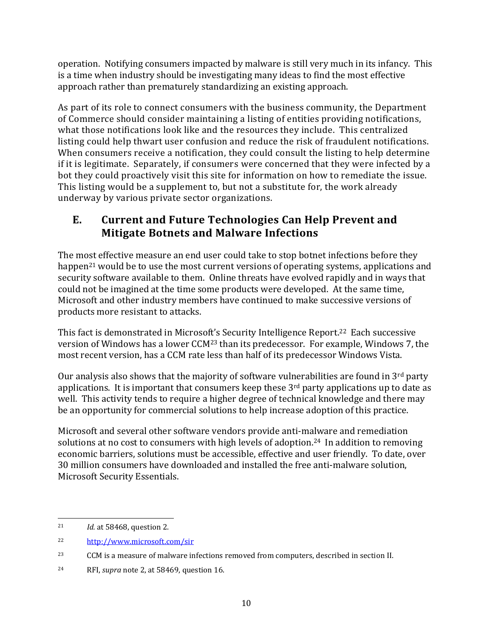operation. Notifying consumers impacted by malware is still very much in its infancy. This is a time when industry should be investigating many ideas to find the most effective approach rather than prematurely standardizing an existing approach.

As part of its role to connect consumers with the business community, the Department of Commerce should consider maintaining a listing of entities providing notifications, what those notifications look like and the resources they include. This centralized listing could help thwart user confusion and reduce the risk of fraudulent notifications. When consumers receive a notification, they could consult the listing to help determine if it is legitimate. Separately, if consumers were concerned that they were infected by a bot they could proactively visit this site for information on how to remediate the issue. This listing would be a supplement to, but not a substitute for, the work already underway by various private sector organizations.

## <span id="page-12-0"></span>**E. Current and Future Technologies Can Help Prevent and Mitigate Botnets and Malware Infections**

The most effective measure an end user could take to stop botnet infections before they happen<sup>21</sup> would be to use the most current versions of operating systems, applications and security software available to them. Online threats have evolved rapidly and in ways that could not be imagined at the time some products were developed. At the same time, Microsoft and other industry members have continued to make successive versions of products more resistant to attacks.

This fact is demonstrated in Microsoft's Security Intelligence Report. <sup>22</sup> Each successive version of Windows has a lower CCM<sup>23</sup> than its predecessor. For example, Windows 7, the most recent version, has a CCM rate less than half of its predecessor Windows Vista.

Our analysis also shows that the majority of software vulnerabilities are found in 3rd party applications. It is important that consumers keep these  $3<sup>rd</sup>$  party applications up to date as well. This activity tends to require a higher degree of technical knowledge and there may be an opportunity for commercial solutions to help increase adoption of this practice.

Microsoft and several other software vendors provide anti-malware and remediation solutions at no cost to consumers with high levels of adoption.<sup>24</sup> In addition to removing economic barriers, solutions must be accessible, effective and user friendly. To date, over 30 million consumers have downloaded and installed the free anti-malware solution, Microsoft Security Essentials.

l

<sup>21</sup> *Id.* at 58468, question 2.

<sup>22</sup> <http://www.microsoft.com/sir>

<sup>23</sup> CCM is a measure of malware infections removed from computers, described in section II.

<sup>24</sup> RFI, *supra* note 2, at 58469, question 16.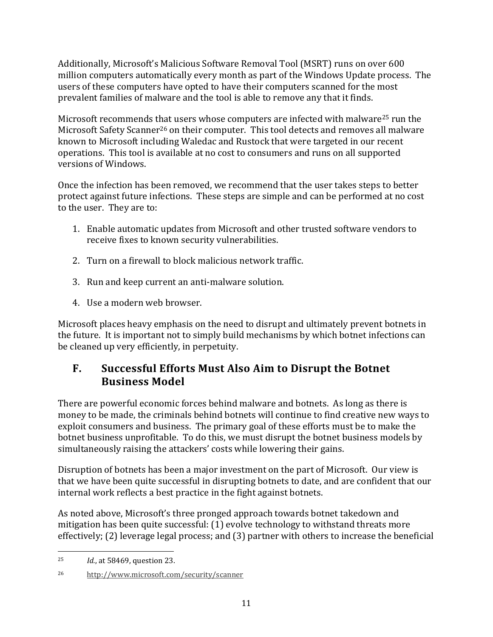Additionally, Microsoft's Malicious Software Removal Tool (MSRT) runs on over 600 million computers automatically every month as part of the Windows Update process. The users of these computers have opted to have their computers scanned for the most prevalent families of malware and the tool is able to remove any that it finds.

Microsoft recommends that users whose computers are infected with malware<sup>25</sup> run the Microsoft Safety Scanner<sup>26</sup> on their computer. This tool detects and removes all malware known to Microsoft including Waledac and Rustock that were targeted in our recent operations. This tool is available at no cost to consumers and runs on all supported versions of Windows.

Once the infection has been removed, we recommend that the user takes steps to better protect against future infections. These steps are simple and can be performed at no cost to the user. They are to:

- 1. Enable automatic updates from Microsoft and other trusted software vendors to receive fixes to known security vulnerabilities.
- 2. Turn on a firewall to block malicious network traffic.
- 3. Run and keep current an anti-malware solution.
- 4. Use a modern web browser.

Microsoft places heavy emphasis on the need to disrupt and ultimately prevent botnets in the future. It is important not to simply build mechanisms by which botnet infections can be cleaned up very efficiently, in perpetuity.

## <span id="page-13-0"></span>**F. Successful Efforts Must Also Aim to Disrupt the Botnet Business Model**

There are powerful economic forces behind malware and botnets. As long as there is money to be made, the criminals behind botnets will continue to find creative new ways to exploit consumers and business. The primary goal of these efforts must be to make the botnet business unprofitable. To do this, we must disrupt the botnet business models by simultaneously raising the attackers' costs while lowering their gains.

Disruption of botnets has been a major investment on the part of Microsoft. Our view is that we have been quite successful in disrupting botnets to date, and are confident that our internal work reflects a best practice in the fight against botnets.

As noted above, Microsoft's three pronged approach towards botnet takedown and mitigation has been quite successful: (1) evolve technology to withstand threats more effectively; (2) leverage legal process; and (3) partner with others to increase the beneficial

 $\overline{\phantom{0}}$ <sup>25</sup> *Id.*, at 58469, question 23.

<sup>26</sup> <http://www.microsoft.com/security/scanner>